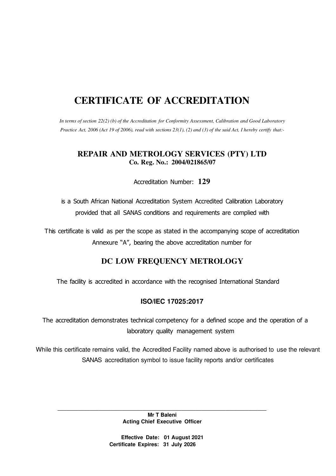# **CERTIFICATE OF ACCREDITATION**

*In terms of section 22(2) (b) of the Accreditation for Conformity Assessment, Calibration and Good Laboratory Practice Act, 2006 (Act 19 of 2006), read with sections 23(1), (2) and (3) of the said Act, I hereby certify that:-*

### **REPAIR AND METROLOGY SERVICES (PTY) LTD Co. Reg. No.: 2004/021865/07**

Accreditation Number: **129**

is a South African National Accreditation System Accredited Calibration Laboratory provided that all SANAS conditions and requirements are complied with

This certificate is valid as per the scope as stated in the accompanying scope of accreditation Annexure "A", bearing the above accreditation number for

# **DC LOW FREQUENCY METROLOGY**

The facility is accredited in accordance with the recognised International Standard

### **ISO/IEC 17025:2017**

The accreditation demonstrates technical competency for a defined scope and the operation of a laboratory quality management system

While this certificate remains valid, the Accredited Facility named above is authorised to use the relevant SANAS accreditation symbol to issue facility reports and/or certificates

**\_\_\_\_\_\_\_\_\_\_\_\_\_\_\_\_\_\_\_\_\_\_\_\_\_\_\_\_\_\_\_\_\_\_\_\_\_\_\_\_\_\_\_\_\_\_\_\_\_\_\_\_\_\_\_\_\_\_\_\_\_\_\_\_\_\_\_\_\_\_\_ Mr T Baleni Acting Chief Executive Officer**

> **Effective Date: 01 August 2021 Certificate Expires: 31 July 2026**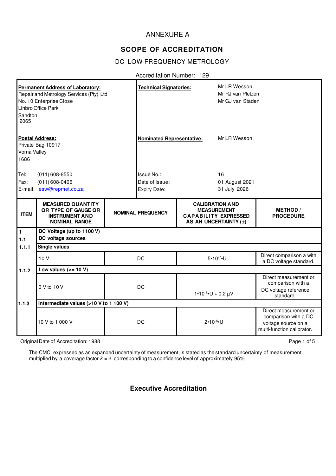# **SCOPE OF ACCREDITATION**

### DC LOW FREQUENCY METROLOGY

#### Accreditation Number: 129

| <b>Permanent Address of Laboratory:</b><br>Repair and Metrology Services (Pty) Ltd<br>No. 10 Enterprise Close<br>Linbro Office Park<br>Sandton<br>2065 |                                                                                                  |  | <b>Technical Signatories:</b>    | Mr LR Wesson<br>Mr RJ van Pletzen<br>Mr GJ van Staden                                                    |                                                                                                    |
|--------------------------------------------------------------------------------------------------------------------------------------------------------|--------------------------------------------------------------------------------------------------|--|----------------------------------|----------------------------------------------------------------------------------------------------------|----------------------------------------------------------------------------------------------------|
| Vorna Valley<br>1686                                                                                                                                   | <b>Postal Address:</b><br>Private Bag 10917                                                      |  | <b>Nominated Representative:</b> | Mr LR Wesson                                                                                             |                                                                                                    |
| Tel:                                                                                                                                                   | $(011) 608 - 8550$                                                                               |  | Issue No.:                       | 16                                                                                                       |                                                                                                    |
| Fax:                                                                                                                                                   | $(011) 608 - 0406$                                                                               |  | Date of Issue:                   | 01 August 2021                                                                                           |                                                                                                    |
|                                                                                                                                                        | E-mail: lesw@repmet.co.za                                                                        |  | Expiry Date:                     | 31 July 2026                                                                                             |                                                                                                    |
| <b>ITEM</b>                                                                                                                                            | <b>MEASURED QUANTITY</b><br>OR TYPE OF GAUGE OR<br><b>INSTRUMENT AND</b><br><b>NOMINAL RANGE</b> |  | <b>NOMINAL FREQUENCY</b>         | <b>CALIBRATION AND</b><br><b>MEASUREMENT</b><br><b>CAPABILITY EXPRESSED</b><br>AS AN UNCERTAINTY $(\pm)$ | <b>METHOD</b> /<br><b>PROCEDURE</b>                                                                |
| $\blacksquare$<br>$1.1$                                                                                                                                | DC Voltage (up to 1100 V)<br>DC voltage sources                                                  |  |                                  |                                                                                                          |                                                                                                    |
| 1.1.1                                                                                                                                                  | <b>Single values</b>                                                                             |  |                                  |                                                                                                          |                                                                                                    |
|                                                                                                                                                        | 10 V                                                                                             |  | <b>DC</b>                        | $5 \cdot 10^{-7} \cdot U$                                                                                | Direct comparison a with<br>a DC voltage standard.                                                 |
| 1.1.2                                                                                                                                                  | Low values $(<= 10 V)$                                                                           |  |                                  |                                                                                                          |                                                                                                    |
|                                                                                                                                                        | 0 V to 10 V                                                                                      |  | <b>DC</b>                        | $1 \cdot 10^{-6} \cdot U + 0.2 \mu V$                                                                    | Direct measurement or<br>comparison with a<br>DC voltage reference<br>standard.                    |
| 1.1.3                                                                                                                                                  | Intermediate values (>10 V to 1 100 V)                                                           |  |                                  |                                                                                                          |                                                                                                    |
|                                                                                                                                                        | 10 V to 1 000 V                                                                                  |  | DC                               | $2•10^{-6}$ •U                                                                                           | Direct measurement or<br>comparison with a DC<br>voltage source on a<br>multi-function calibrator. |

Original Date of Accreditation: 1988 **Page 1 of 5** Page 1 of 5

The CMC, expressed as an expanded uncertainty of measurement, is stated as the standard uncertainty of measurement multiplied by a coverage factor  $k = 2$ , corresponding to a confidence level of approximately 95%

## **Executive Accreditation**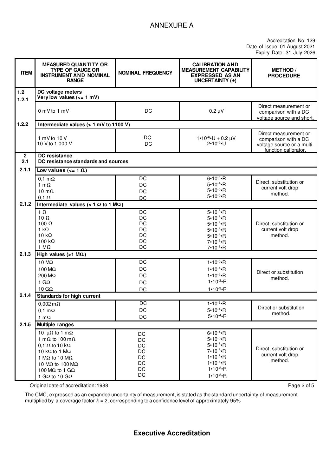#### Accreditation No: 129 Date of Issue: 01 August 2021 Expiry Date: 31 July 2026

| <b>ITEM</b>                    | <b>MEASURED QUANTITY OR</b><br><b>TYPE OF GAUGE OR</b><br><b>INSTRUMENT AND NOMINAL</b><br><b>RANGE</b>                                                                                                                                                 | <b>NOMINAL FREQUENCY</b>                                   | <b>CALIBRATION AND</b><br><b>MEASUREMENT CAPABILITY</b><br><b>EXPRESSED AS AN</b><br>UNCERTAINTY $(\pm)$                                         | <b>METHOD /</b><br><b>PROCEDURE</b>                                                                 |  |
|--------------------------------|---------------------------------------------------------------------------------------------------------------------------------------------------------------------------------------------------------------------------------------------------------|------------------------------------------------------------|--------------------------------------------------------------------------------------------------------------------------------------------------|-----------------------------------------------------------------------------------------------------|--|
| $1.2$<br>1.2.1                 | DC voltage meters<br>Very low values $(<= 1$ mV)                                                                                                                                                                                                        |                                                            |                                                                                                                                                  |                                                                                                     |  |
|                                | 0 mV to 1 mV                                                                                                                                                                                                                                            | DC                                                         | $0.2 \mu V$                                                                                                                                      | Direct measurement or<br>comparison with a DC<br>voltage source and short.                          |  |
| 1.2.2                          | Intermediate values (> 1 mV to 1100 V)                                                                                                                                                                                                                  |                                                            |                                                                                                                                                  |                                                                                                     |  |
|                                | 1 mV to 10 V<br>10 V to 1 000 V                                                                                                                                                                                                                         | DC<br>DC                                                   | $1 \cdot 10^{-6} \cdot U + 0.2 \mu V$<br>$2•10^{-6}$ •U                                                                                          | Direct measurement or<br>comparison with a DC<br>voltage source or a multi-<br>function calibrator. |  |
| $\overline{\mathbf{2}}$<br>2.1 | <b>DC</b> resistance<br>DC resistance standards and sources                                                                                                                                                                                             |                                                            |                                                                                                                                                  |                                                                                                     |  |
| 2.1.1                          | Low values ( $\Leftarrow$ 1 $\Omega$ )                                                                                                                                                                                                                  |                                                            |                                                                                                                                                  |                                                                                                     |  |
|                                | $0,1 \text{ m}\Omega$<br>1 m $\Omega$<br>10 m $\Omega$<br>$0,1$ $\Omega$                                                                                                                                                                                | DC<br>DC<br>DC<br>DC                                       | $6•10^{-4}$ R<br>$5•10^{-4}$ R<br>$5•10^{-5}$ R<br>$5•10^{-5}$ R                                                                                 | Direct, substitution or<br>current volt drop<br>method.                                             |  |
| 2.1.2                          | Intermediate values (> 1 $\Omega$ to 1 M $\Omega$ )                                                                                                                                                                                                     |                                                            |                                                                                                                                                  |                                                                                                     |  |
|                                | $\overline{1 \Omega}$<br>10 $\Omega$<br>100 $\Omega$<br>$1 k\Omega$<br>$10 k\Omega$<br>$100 k\Omega$<br>1 $M\Omega$                                                                                                                                     | $\overline{DC}$<br>DC<br>DC<br>DC<br>DC<br>DC<br>DC        | $5•10^{-6}$ R<br>$5•10^{-6}$ R<br>$5•10^{-6}$ R<br>$5•10^{-6}$ R<br>$5•10^{-6}$ R<br>$7•10^{-6}•R$<br>$7•10^{-6}•R$                              | Direct, substitution or<br>current volt drop<br>method.                                             |  |
| 2.1.3                          | High values (>1 $M\Omega$ )                                                                                                                                                                                                                             |                                                            |                                                                                                                                                  |                                                                                                     |  |
|                                | 10 MΩ<br>100 $M\Omega$<br>200 MΩ<br>1 $G\Omega$<br>10 $G\Omega$                                                                                                                                                                                         | DC<br>DC<br>DC<br>DC<br>DC                                 | $1•10^{-5}$ R<br>$1 \cdot 10^{-4} \cdot R$<br>$1 \cdot 10^{-3} \cdot R$<br>$1 \cdot 10^{-3} \cdot R$<br>$1•10^{-3}•R$                            | Direct or substitution<br>method.                                                                   |  |
| 2.1.4                          | <b>Standards for high current</b>                                                                                                                                                                                                                       |                                                            |                                                                                                                                                  |                                                                                                     |  |
|                                | $0.002 \text{ m}\Omega$<br>$0,1 \text{ m}\Omega$<br>1 m $\Omega$                                                                                                                                                                                        | $\overline{DC}$<br>DC<br>DC                                | $1•10^{-3}•R$<br>$5•10^{-4}$ R<br>$5•10^{-4}$ R                                                                                                  | Direct or substitution<br>method.                                                                   |  |
| 2.1.5                          | <b>Multiple ranges</b>                                                                                                                                                                                                                                  |                                                            |                                                                                                                                                  |                                                                                                     |  |
|                                | 10 $\mu\Omega$ to 1 m $\Omega$<br>1 m $\Omega$ to 100 m $\Omega$<br>0,1 $\Omega$ to 10 k $\Omega$<br>10 k $\Omega$ to 1 M $\Omega$<br>1 M $\Omega$ to 10 M $\Omega$<br>10 MΩ to 100 MΩ<br>100 M $\Omega$ to 1 G $\Omega$<br>1 $G\Omega$ to 10 $G\Omega$ | DC<br>DC<br>DC<br>DC<br>DC<br>DC<br><b>DC</b><br><b>DC</b> | $6•10^{-4}$ R<br>$5•10^{-5}$ R<br>$5•10^{-6}$ R<br>$7•10^{-6}•R$<br>$1•10^{-5}•R$<br>$1 \cdot 10^{-4} \cdot R$<br>$1•10^{-3}•R$<br>$1•10^{-3}•R$ | Direct, substitution or<br>current volt drop<br>method.                                             |  |

Original date of accreditation: 1988 **Page 2 of 5** Page 2 of 5

The CMC, expressed as an expanded uncertainty of measurement, is stated as the standard uncertainty of measurement multiplied by a coverage factor  $k = 2$ , corresponding to a confidence level of approximately 95%

# **Executive Accreditation**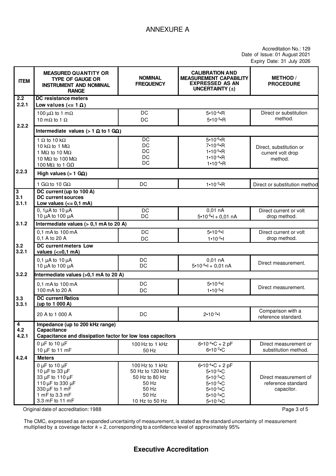#### Accreditation No.: 129 Date of Issue: 01 August 2021 Expiry Date: 31 July 2026

| <b>ITEM</b>                    | <b>MEASURED QUANTITY OR</b><br><b>TYPE OF GAUGE OR</b><br><b>INSTRUMENT AND NOMINAL</b><br><b>RANGE</b>                                            | <b>NOMINAL</b><br><b>FREQUENCY</b>                                               | <b>CALIBRATION AND</b><br><b>MEASUREMENT CAPABILITY</b><br><b>EXPRESSED AS AN</b><br>UNCERTAINTY $(\pm)$              | <b>METHOD /</b><br><b>PROCEDURE</b>                       |  |
|--------------------------------|----------------------------------------------------------------------------------------------------------------------------------------------------|----------------------------------------------------------------------------------|-----------------------------------------------------------------------------------------------------------------------|-----------------------------------------------------------|--|
| 2.2<br>2.2.1                   | <b>DC</b> resistance meters<br>Low values ( $\leq$ 1 $\Omega$ )                                                                                    |                                                                                  |                                                                                                                       |                                                           |  |
|                                | 100 $\mu\Omega$ to 1 m $\Omega$<br>10 m $\Omega$ to 1 $\Omega$                                                                                     | DC<br>DC                                                                         | $5•10^{-4}$ R<br>$5•10^{-5}$ R                                                                                        | Direct or substitution<br>method.                         |  |
| 2.2.2                          | Intermediate values (> 1 $\Omega$ to 1 G $\Omega$ )                                                                                                |                                                                                  |                                                                                                                       |                                                           |  |
|                                | 1 $\Omega$ to 10 k $\Omega$<br>10 k $\Omega$ to 1 M $\Omega$<br>1 M $\Omega$ to 10 M $\Omega$<br>10 MΩ to 100 MΩ<br>100 M $\Omega$ to 1 G $\Omega$ | DC<br>DC<br>DC<br>DC<br>DC                                                       | $5•10^{-6}$ R<br>$7•10^{-6}•R$<br>$1 \cdot 10^{-5} \cdot R$<br>$1 \cdot 10^{-4} \cdot R$<br>$1•10^{-4}•R$             | Direct, substitution or<br>current volt drop<br>method.   |  |
| 2.2.3                          | High values ( $> 1$ G $\Omega$ )                                                                                                                   |                                                                                  |                                                                                                                       |                                                           |  |
|                                | 1 $G\Omega$ to 10 $G\Omega$                                                                                                                        | <b>DC</b>                                                                        | $1 \cdot 10^{-3} \cdot R$                                                                                             | Direct or substitution method                             |  |
| $\overline{3}$<br>3.1<br>3.1.1 | DC current (up to 100 A)<br><b>DC current sources</b><br>Low values $(<= 0.1$ mA)                                                                  |                                                                                  |                                                                                                                       |                                                           |  |
|                                | $0, 1\mu A$ to $10\mu A$<br>10 µA to 100 µA                                                                                                        | DC<br>DC                                                                         | 0.01 nA<br>$5 \cdot 10^{-6}$ -1 + 0,01 nA                                                                             | Direct current or volt<br>drop method.                    |  |
| 3.1.2                          | Intermediate values (> 0,1 mA to 20 A)                                                                                                             |                                                                                  |                                                                                                                       |                                                           |  |
|                                | 0.1 mA to 100 mA<br>0,1 A to 20 A                                                                                                                  | DC<br>DC                                                                         | $5 \cdot 10^{-6}$<br>$1 - 10^{-5}$                                                                                    | Direct current or volt<br>drop method.                    |  |
| 3.2<br>3.2.1                   | DC current meters Low<br>values $(<=0,1$ mA)                                                                                                       |                                                                                  |                                                                                                                       |                                                           |  |
|                                | $0,1 \mu A$ to $10 \mu A$<br>10 µA to 100 µA                                                                                                       | DC<br>DC                                                                         | $0,01$ nA<br>$5 \cdot 10^{-6} \cdot I + 0,01 \text{ nA}$                                                              | Direct measurement.                                       |  |
| 3.2.2                          | Intermediate values (>0,1 mA to 20 A)                                                                                                              |                                                                                  |                                                                                                                       |                                                           |  |
|                                | 0.1 mA to 100 mA<br>100 mA to 20 A                                                                                                                 | DC<br>DC                                                                         | $5 - 10^{-6}$<br>$1 \cdot 10^{-5}$                                                                                    | Direct measurement.                                       |  |
| 3.3<br>3.3.1                   | <b>DC</b> current Ratios<br>(up to 1 000 A)                                                                                                        |                                                                                  |                                                                                                                       |                                                           |  |
|                                | 20 A to 1 000 A                                                                                                                                    | DC                                                                               | $2•10-3$                                                                                                              | Comparison with a<br>reference standard.                  |  |
| $\overline{4}$<br>4.2<br>4.2.1 | Impedance (up to 200 kHz range)<br>Capacitance<br>Capacitance and dissipation factor for low loss capacitors                                       |                                                                                  |                                                                                                                       |                                                           |  |
|                                | $0 \mu$ F to 10 $\mu$ F<br>10 µF to 11 mF                                                                                                          | 100 Hz to 1 kHz                                                                  | $6•10^{-4}$ • C + 2 pF<br>$6•10^{-3}$ • C                                                                             | Direct measurement or<br>substitution method.             |  |
| 4.2.4                          | <b>Meters</b>                                                                                                                                      | 50 Hz                                                                            |                                                                                                                       |                                                           |  |
|                                | $0 \mu$ F to 10 $\mu$ F<br>10 µF to 33 µF<br>33 µF to 110 µF<br>110 µF to 330 µF<br>330 µF to 1 mF<br>1 mF to 3.3 mF                               | 100 Hz to 1 kHz<br>50 Hz to 120 kHz<br>50 Hz to 80 Hz<br>50 Hz<br>50 Hz<br>50 Hz | $6•10^{-4}$ • C + 2 pF<br>$5•10^{-3}$ • C<br>$5•10^{-3}$ • C<br>$5•10^{-3}$ • C<br>$5•10^{-3}$ • C<br>$5•10^{-3}$ • C | Direct measurement of<br>reference standard<br>capacitor. |  |
|                                | 3.3 mF to 11 mF                                                                                                                                    | 10 Hz to 50 Hz                                                                   | $5•10^{-3}$ • C                                                                                                       |                                                           |  |

Original date of accreditation: 1988 **Page 3 of 5** Page 3 of 5

The CMC, expressed as an expanded uncertainty of measurement, is stated as the standard uncertainty of measurement multiplied by a coverage factor  $k = 2$ , corresponding to a confidence level of approximately 95%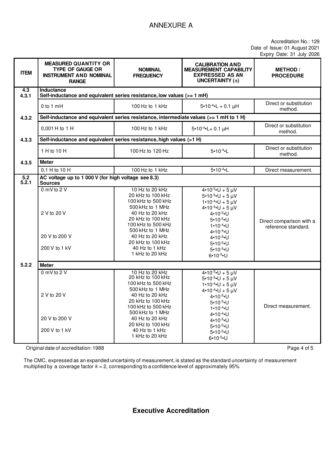#### Accreditation No.: 129 Date of Issue: 01 August 2021 Expiry Date: 31 July 2026

| <b>ITEM</b>  | <b>MEASURED QUANTITY OR</b><br><b>TYPE OF GAUGE OR</b><br><b>INSTRUMENT AND NOMINAL</b><br><b>RANGE</b> | <b>NOMINAL</b><br><b>FREQUENCY</b>                                                                                                                                                                                                              | <b>CALIBRATION AND</b><br><b>MEASUREMENT CAPABILITY</b><br><b>EXPRESSED AS AN</b><br>UNCERTAINTY $(\pm)$                                                                                                                                                                                                                                                       | <b>METHOD /</b><br><b>PROCEDURE</b>             |
|--------------|---------------------------------------------------------------------------------------------------------|-------------------------------------------------------------------------------------------------------------------------------------------------------------------------------------------------------------------------------------------------|----------------------------------------------------------------------------------------------------------------------------------------------------------------------------------------------------------------------------------------------------------------------------------------------------------------------------------------------------------------|-------------------------------------------------|
| 4.3<br>4.3.1 | <b>Inductance</b><br>Self-inductance and equivalent series resistance, low values (>= 1 mH)             |                                                                                                                                                                                                                                                 |                                                                                                                                                                                                                                                                                                                                                                |                                                 |
|              | $0$ to 1 mH                                                                                             | 100 Hz to 1 kHz                                                                                                                                                                                                                                 | $5 \cdot 10^{-4} \cdot L + 0.1 \mu H$                                                                                                                                                                                                                                                                                                                          | Direct or substitution<br>method.               |
| 4.3.2        | Self-inductance and equivalent series resistance, intermediate values (>= 1 mH to 1 H)                  |                                                                                                                                                                                                                                                 |                                                                                                                                                                                                                                                                                                                                                                |                                                 |
|              | 0,001 H to 1 H                                                                                          | 100 Hz to 1 kHz                                                                                                                                                                                                                                 | $5 \cdot 10^{-4} \cdot L + 0.1 \mu H$                                                                                                                                                                                                                                                                                                                          | Direct or substitution<br>method.               |
| 4.3.3        | Self-inductance and equivalent series resistance, high values (>1 H)                                    |                                                                                                                                                                                                                                                 |                                                                                                                                                                                                                                                                                                                                                                |                                                 |
|              | 1 H to 10 H                                                                                             | 100 Hz to 120 Hz                                                                                                                                                                                                                                | $5 \cdot 10^{-4} \cdot L$                                                                                                                                                                                                                                                                                                                                      | Direct or substitution<br>method.               |
| 4.3.5        | <b>Meter</b>                                                                                            |                                                                                                                                                                                                                                                 |                                                                                                                                                                                                                                                                                                                                                                |                                                 |
|              | $0.1 H$ to $10 H$                                                                                       | 100 Hz to 1 kHz                                                                                                                                                                                                                                 | $5 \cdot 10^{-4}$                                                                                                                                                                                                                                                                                                                                              | Direct measurement.                             |
| 5.2<br>5.2.1 | AC voltage up to 1 000 V (for high voltage see 8.3)<br><b>Sources</b>                                   |                                                                                                                                                                                                                                                 |                                                                                                                                                                                                                                                                                                                                                                |                                                 |
|              | $0 \text{ mV}$ to $2 \text{ V}$<br>2 V to 20 V<br>20 V to 200 V<br>200 V to 1 kV                        | 10 Hz to 20 kHz<br>20 kHz to 100 kHz<br>100 kHz to 500 kHz<br>500 kHz to 1 MHz<br>40 Hz to 20 kHz<br>20 kHz to 100 kHz<br>100 kHz to 500 kHz<br>500 kHz to 1 MHz<br>40 Hz to 20 kHz<br>20 kHz to 100 kHz<br>40 Hz to 1 kHz<br>1 kHz to 20 kHz   | $4•10^{-5}·U + 5 \mu V$<br>$5.10^{-5}$ -U + 5 µV<br>$1 \cdot 10^{-4} \cdot U + 5 \mu V$<br>$4 \cdot 10^{-4} \cdot U + 5 \mu V$<br>4•10 <sup>-5</sup> •U<br>$5 \cdot 10^{-5} \cdot U$<br>$1 \cdot 10^{-4} \cdot U$<br>$4 \cdot 10^{-4} \cdot U$<br>$4•10^{-5}$ •U<br>$5.10 - 5.0$<br>$5 \cdot 10^{-5} \cdot U$<br>$6•10^{-5}$ •U                                | Direct comparison with a<br>reference standard. |
| 5.2.2        | <b>Meter</b>                                                                                            |                                                                                                                                                                                                                                                 |                                                                                                                                                                                                                                                                                                                                                                |                                                 |
|              | $0 \text{ mV}$ to $2 \text{ V}$<br>2 V to 20 V<br>20 V to 200 V<br>200 V to 1 kV                        | 10 Hz to 20 $kHz$<br>20 kHz to 100 kHz<br>100 kHz to 500 kHz<br>500 kHz to 1 MHz<br>40 Hz to 20 kHz<br>20 kHz to 100 kHz<br>100 kHz to 500 kHz<br>500 kHz to 1 MHz<br>40 Hz to 20 kHz<br>20 kHz to 100 kHz<br>40 Hz to 1 kHz<br>1 kHz to 20 kHz | $4•10^{-5}·U + 5 \mu V$<br>$5 \cdot 10^{-5} \cdot U + 5 \mu V$<br>$1 \cdot 10^{-4} \cdot U + 5 \mu V$<br>$4 \cdot 10^{-4} \cdot U + 5 \mu V$<br>$4 \cdot 10^{-5} \cdot U$<br>$5 \cdot 10^{-5} \cdot U$<br>$1 \cdot 10^{-4} \cdot U$<br>$4•10^{-4}$ •U<br>$4•10^{-5}$ •U<br>$5 \cdot 10^{-5} \cdot U$<br>$5 \cdot 10^{-5} \cdot U$<br>$6 \cdot 10^{-5} \cdot U$ | Direct measurement.                             |

Original date of accreditation: 1988 **Page 4 of 5** Page 4 of 5

The CMC, expressed as an expanded uncertainty of measurement, is stated as the standard uncertainty of measurement multiplied by a coverage factor  $k = 2$ , corresponding to a confidence level of approximately 95%

## **Executive Accreditation**